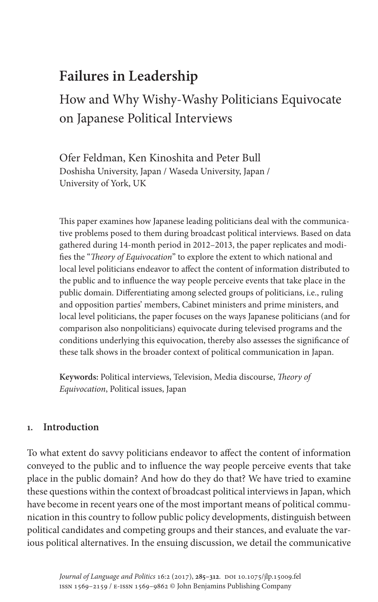# **Failures in Leadership**

How and Why Wishy-Washy Politicians Equivocate on Japanese Political Interviews

Ofer Feldman, Ken Kinoshita and Peter Bull Doshisha University, Japan / Waseda University, Japan / University of York, UK

This paper examines how Japanese leading politicians deal with the communicative problems posed to them during broadcast political interviews. Based on data gathered during 14-month period in 2012–2013, the paper replicates and modifies the "*Theory of Equivocation*" to explore the extent to which national and local level politicians endeavor to affect the content of information distributed to the public and to influence the way people perceive events that take place in the public domain. Differentiating among selected groups of politicians, i.e., ruling and opposition parties' members, Cabinet ministers and prime ministers, and local level politicians, the paper focuses on the ways Japanese politicians (and for comparison also nonpoliticians) equivocate during televised programs and the conditions underlying this equivocation, thereby also assesses the significance of these talk shows in the broader context of political communication in Japan.

**Keywords:** Political interviews, Television, Media discourse, *Theory of Equivocation*, Political issues, Japan

# **1. Introduction**

To what extent do savvy politicians endeavor to affect the content of information conveyed to the public and to influence the way people perceive events that take place in the public domain? And how do they do that? We have tried to examine these questions within the context of broadcast political interviews in Japan, which have become in recent years one of the most important means of political communication in this country to follow public policy developments, distinguish between political candidates and competing groups and their stances, and evaluate the various political alternatives. In the ensuing discussion, we detail the communicative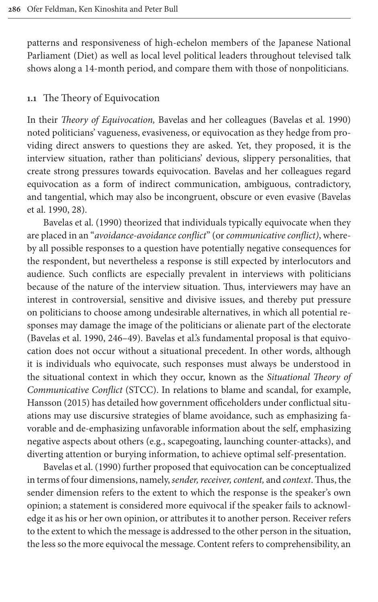patterns and responsiveness of high-echelon members of the Japanese National Parliament (Diet) as well as local level political leaders throughout televised talk shows along a 14-month period, and compare them with those of nonpoliticians.

#### **1.1** The Theory of Equivocation

In their *Theory of Equivocation,* Bavelas and her colleagues (Bavelas et al. 1990) noted politicians' vagueness, evasiveness, or equivocation as they hedge from providing direct answers to questions they are asked. Yet, they proposed, it is the interview situation, rather than politicians' devious, slippery per[sonalitie](#page-26-0)s, that [crea](#page-26-0)te strong pressures towards equivocation. Bavelas and her colleagues regard [equivocation as a](#page-26-0) form of indirect communication, ambiguous, contradictory, and tangential, which may also be incongruent, obscure or even evasive (Bavelas et al. 1990, 28).

Bavelas et al. (1990) theorized that individuals typically equivocate when they are placed in an "*avoidance-avoidance conflict*" (or *communicative conflict)*, whereby all possible responses to a question have potentially negative consequences for the respondent, but nevertheless a response is still expected by interlocutors and audience. Such conflicts are especially prevalent in interviews with politicians because of the nature of the interview situation. Thus, interviewers may have an [interest in c](#page-26-0)ontroversial, sensitive and divisive issues, and thereby put pressure on politicians to choose among undesirable alternatives, in which all potential responses may damage the image of the politicians or alienate part of the electorate (Bavelas et al. 1990, 246–49). Bavelas et al.'s fundamental proposal is that equivocation does not occur without a situational precedent. In other words, although [it is indiv](#page-26-1)iduals who equivocate, such responses must always be understood in the situational context in which they occur, known as the *Situational Theory of Communicative Conflict* (STCC). In relations to blame and scandal, for example, Hansson (2015) has detailed how government officeholders under conflictual situations may use discursive strategies of blame avoidance, such as emphasizing fa[vorable and de-em](#page-26-0)phasizing unfavorable information about the self, emphasizing negative aspects about others (e.g., scapegoating, launching counter-attacks), and diverting attention or burying information, to achieve optimal self-presentation.

Bavelas et al. (1990) further proposed that equivocation can be conceptualized in terms of four dimensions, namely, *sender, receiver, content,* and *context*. Thus, the sender dimension refers to the extent to which the response is the speaker's own opinion; a statement is considered more equivocal if the speaker fails to acknowledge it as his or her own opinion, or attributes it to another person. Receiver refers to the extent to which the message is addressed to the other person in the situation, the less so the more equivocal the message. Content refers to comprehensibility, an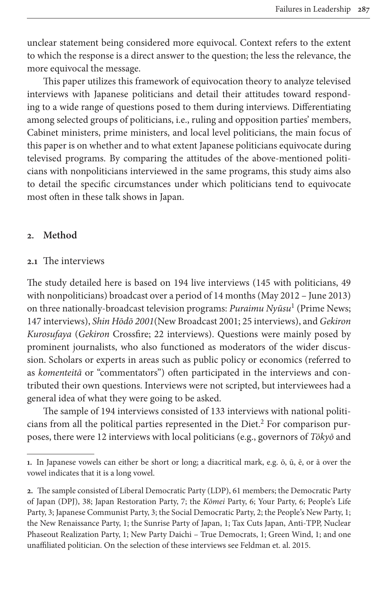unclear statement being considered more equivocal. Context refers to the extent to which the response is a direct answer to the question; the less the relevance, the more equivocal the message.

This paper utilizes this framework of equivocation theory to analyze televised interviews with Japanese politicians and detail their attitudes toward responding to a wide range of questions posed to them during interviews. Differentiating among selected groups of politicians, i.e., ruling and opposition parties' members, Cabinet ministers, prime ministers, and local level politicians, the main focus of this paper is on whether and to what extent Japanese politicians equivocate during televised programs. By comparing the attitudes of the above-mentioned politicians with nonpoliticians interviewed in the same programs, this study aims also to detail the specific circumstances under which politicians tend to equivocate most often in these talk shows in Japan.

# **2. Method**

#### **2.1** The interviews

The study detailed here is based on 194 live interviews (1[45](#page-2-0) with politicians, 49 with nonpoliticians) broadcast over a period of 14 months (May 2012 – June 2013) on three nationally-broadcast television programs: *Puraimu Nyūsu*1 (Prime News; 147 interviews), *Shin Hōdō 2001*(New Broadcast 2001; 25 interviews), and *Gekiron Kurosufaya* (*Gekiron* Crossfire; 22 interviews). Questions were mainly posed by prominent journalists, who also functioned as moderators of the wider discussion. Scholars or experts in areas such as public policy or economics (referred to as *komenteitā* or "commentators") often participated in the interviews and contributed their own questions. Interviews were not sc[r](#page-2-1)ipted, but interviewees had a general idea of what they were going to be asked.

<span id="page-2-0"></span>The sample of 194 interviews consisted of 133 interviews with national politicians from all the political parties represented in the Diet.<sup>2</sup> For comparison purposes, there were 12 interviews with local politicians (e.g., governors of *Tōkyō* and

<span id="page-2-1"></span>**<sup>1.</sup>** In Japanese vowels can either be short or long; a diacritical mark, e.g. ō, ū, ē, or ā over the vowel indicates that it is a long vowel.

**<sup>2.</sup>** The sample consisted of Liberal Democratic Party (LDP), 61 members; the Democratic Party of Japan (DPJ), 38; Japan Restoration Party, 7; the *Kōmei* Party, 6; Your Party, 6; People's Life Party, 3; Japanese Communist Party, 3; the Social Dem[ocratic Party, 2; the P](#page-26-2)eople's New Party, 1; the New Renaissance Party, 1; the Sunrise Party of Japan, 1; Tax Cuts Japan, Anti-TPP, Nuclear Phaseout Realization Party, 1; New Party Daichi – True Democrats, 1; Green Wind, 1; and one unaffiliated politician. On the selection of these interviews see Feldman et. al. 2015.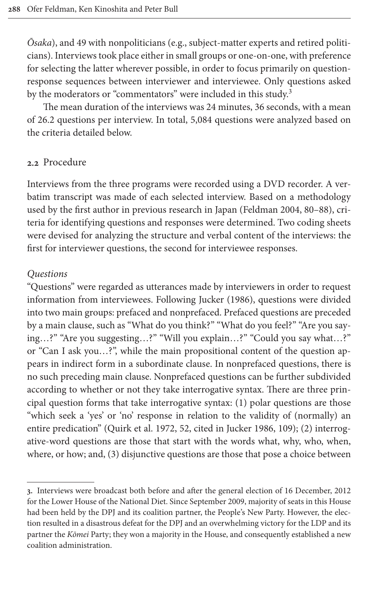*Ōsaka*), and 49 with nonpoliticians (e.g., subject-matter experts and retired politicians). Interviews took place either in small groups or one-[on](#page-3-0)-one, with preference for selecting the latter wherever possible, in order to focus primarily on questionresponse sequences between interviewer and interviewee. Only questions asked by the moderators or "commentators" were included in this study.<sup>3</sup>

The mean duration of the interviews was 24 minutes, 36 seconds, with a mean of 26.2 questions per interview. In total, 5,084 questions were analyzed based on the criteria detailed below.

# **2.2** Procedure

Interviews from the three programs were recor[ded using a DV](#page-26-3)D recorder. A verbatim transcript was made of each selected interview. Based on a methodology used by the first author in previous research in Japan (Feldman 2004, 80–88), criteria for identifying questions and responses were determined. Two coding sheets were devised for analyzing the structure and verbal content of the interviews: the first for interviewer questions, the second for interviewee responses.

### *Questions*

"Questions" were regarded as utterances made by interviewers in order to request information from interviewees. Following Jucker (1986), questions were divided into two main groups: prefaced and nonprefaced. Prefaced questions are preceded by a main clause, such as "What do you think?" "What do you feel?" "Are you saying…?" "Are you suggesting…?" "Will you explain…?" "Could you say what…?" or "Can I ask you…?", while the main propositional content of the question appears in indirect form in a subordinate clause. In nonprefaced questions, there is no such preceding main clause. Nonprefaced questions can be further subdivided according to whether or not they take inte[rrogative syn](#page-26-4)tax. There are three principal question forms that take interrogative syntax: (1) polar questions are those "which seek a 'yes' or 'no' response in relation to the validity of (normally) an entire predication" (Quirk et al. 1972, 52, cited in Jucker 1986, 109); (2) interrogative-word questions are those that start with the words what, why, who, when, where, or how; and, (3) disjunctive questions are those that pose a choice between

<span id="page-3-0"></span>**<sup>3.</sup>** Interviews were broadcast both before and after the general election of 16 December, 2012 for the Lower House of the National Diet. Since September 2009, majority of seats in this House had been held by the DPJ and its coalition partner, the People's New Party. However, the election resulted in a disastrous defeat for the DPJ and an overwhelming victory for the LDP and its partner the *Kōmei* Party; they won a majority in the House, and consequently established a new coalition administration.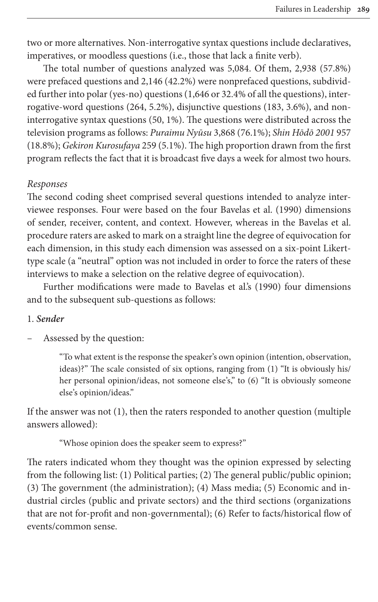two or more alternatives. Non-interrogative syntax questions include declaratives, imperatives, or moodless questions (i.e., those that lack a finite verb).

The total number of questions analyzed was 5,084. Of them, 2,938 (57.8%) were prefaced questions and 2,146 (42.2%) were nonprefaced questions, subdivided further into polar (yes-no) questions (1,646 or 32.4% of all the questions), interrogative-word questions (264, 5.2%), disjunctive questions (183, 3.6%), and noninterrogative syntax questions (50, 1%). The questions were distributed across the television programs as follows: *Puraimu Nyūsu* 3,868 (76.1%); *Shin Hōdō 2001* 957 (18.8%); *Gekiron Kurosufaya* 259 (5.1%). The high proportion drawn from the first program reflects the fact that it is broadcast five days a week for almost two hours.

#### *Responses*

The second coding sheet comprised several questions intended to analyze interviewee responses. Four were based on the four Bavelas et al. (1990) dimensions of sender, receiver, content, and context. However, whereas in the Bavelas et al. procedure raters are asked to mark on a straight line the degree of equivocation for each dimension, in this study each [dimension was assesse](#page-26-0)d on a six-point Likerttype scale (a "neutral" option was not included in order to force the raters of these interviews to make a selection on the relative degree of equivocation).

Further modifications were made to Bavelas et al.'s (1990) four dimensions and to the subsequent sub-questions as follows:

#### 1. *Sender*

– Assessed by the question:

"To what extent is the response the speaker's own opinion (intention, observation, ideas)?" The scale consisted of six options, ranging from (1) "It is obviously his/ her personal opinion/ideas, not someone else's," to (6) "It is obviously someone else's opinion/ideas."

If the answer was not (1), then the raters responded to another question (multiple answers allowed):

"Whose opinion does the speaker seem to express?"

The raters indicated whom they thought was the opinion expressed by selecting from the following list: (1) Political parties; (2) The general public/public opinion; (3) The government (the administration); (4) Mass media; (5) Economic and industrial circles (public and private sectors) and the third sections (organizations that are not for-profit and non-governmental); (6) Refer to facts/historical flow of events/common sense.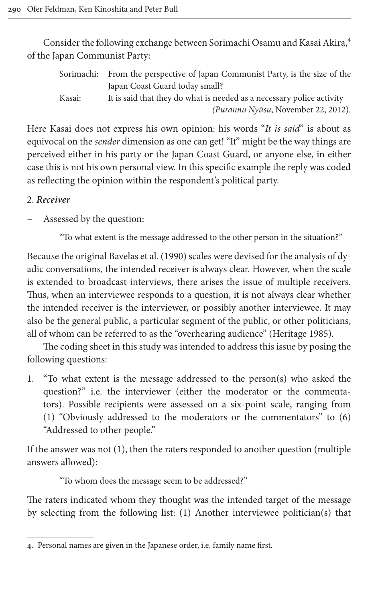Consider the following exchange between Sorimachi Osamu and Kasai Akira,4 of the Japan Communist Party:

|        | Sorimachi: From the perspective of Japan Communist Party, is the size of the |
|--------|------------------------------------------------------------------------------|
|        | Japan Coast Guard today small?                                               |
| Kasai: | It is said that they do what is needed as a necessary police activity        |
|        | (Puraimu Nyūsu, November 22, 2012).                                          |

Here Kasai does not express his own opinion: his words "*It is said*" is about as equivocal on the *sender* dimension as one can get! "It" might be the way things are perceived either in his party or the Japan Coast Guard, or anyone else, in either case this is not his own personal view. In this specific example the reply was coded as reflecting the opinion within the respondent's political party.

### 2. *Receiver*

– Assessed [by the question:](#page-26-0)

"To what extent is the message addressed to the other person in the situation?"

Because the original Bavelas et al. (1990) scales were devised for the analysis of dyadic conversations, the intended receiver is always clear. However, when the scale is extended to broadcast interviews, there arises the issue of multiple receivers. Thus, when an interviewee responds to a question, it i[s not always cl](#page-26-5)ear whether the intended receiver is the interviewer, or possibly another interviewee. It may also be the general public, a particular segment of the public, or other politicians, all of whom can be referred to as the "overhearing audience" (Heritage 1985).

The coding sheet in this study was intended to address this issue by posing the following questions:

1. "To what extent is the message addressed to the person(s) who asked the question?" i.e. the interviewer (either the moderator or the commentators). Possible recipients were assessed on a six-point scale, ranging from (1) "Obviously addressed to the moderators or the commentators" to (6) "Addressed to other people."

If the answer was not (1), then the raters responded to another question (multiple answers allowed):

"To whom does the message seem to be addressed?"

The raters indicated whom they thought was the intended target of the message by selecting from the following list: (1) Another interviewee politician(s) that

**<sup>4.</sup>** Personal names are given in the Japanese order, i.e. family name first.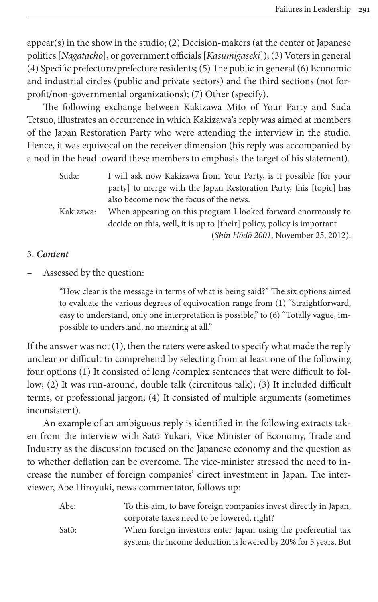appear(s) in the show in the studio; (2) Decision-makers (at the center of Japanese politics [*Nagatachō*], or government officials [*Kasumigaseki*]); (3) Voters in general (4) Specific prefecture/prefecture residents; (5) The public in general (6) Economic and industrial circles (public and private sectors) and the third sections (not forprofit/non-governmental organizations); (7) Other (specify).

The following exchange between Kakizawa Mito of Your Party and Suda Tetsuo, illustrates an occurrence in which Kakizawa's reply was aimed at members of the Japan Restoration Party who were attending the interview in the studio. Hence, it was equivocal on the receiver dimension (his reply was accompanied by a nod in the head toward these members to emphasis the target of his statement).

| Suda:     | I will ask now Kakizawa from Your Party, is it possible for your      |
|-----------|-----------------------------------------------------------------------|
|           | party to merge with the Japan Restoration Party, this [topic] has     |
|           | also become now the focus of the news.                                |
| Kakizawa: | When appearing on this program I looked forward enormously to         |
|           | decide on this, well, it is up to [their] policy, policy is important |
|           | (Shin Hōdō 2001, November 25, 2012).                                  |
|           |                                                                       |

### 3. *Content*

– Assessed by the question:

"How clear is the message in terms of what is being said?" The six options aimed to evaluate the various degrees of equivocation range from (1) "Straightforward, easy to understand, only one interpretation is possible," to (6) "Totally vague, impossible to understand, no meaning at all."

If the answer was not (1), then the raters were asked to specify what made the reply unclear or difficult to comprehend by selecting from at least one of the following four options (1) It consisted of long /complex sentences that were difficult to follow; (2) It was run-around, double talk (circuitous talk); (3) It included difficult terms, or professional jargon; (4) It consisted of multiple arguments (sometimes inconsistent).

An example of an ambiguous reply is identified in the following extracts taken from the interview with Satō Yukari, Vice Minister of Economy, Trade and Industry as the discussion focused on the Japanese economy and the question as to whether deflation can be overcome. The vice-minister stressed the need to increase the number of foreign companies' direct investment in Japan. The interviewer, Abe Hiroyuki, news commentator, follows up:

| Abe:  | To this aim, to have foreign companies invest directly in Japan, |
|-------|------------------------------------------------------------------|
|       | corporate taxes need to be lowered, right?                       |
| Satō: | When foreign investors enter Japan using the preferential tax    |
|       | system, the income deduction is lowered by 20% for 5 years. But  |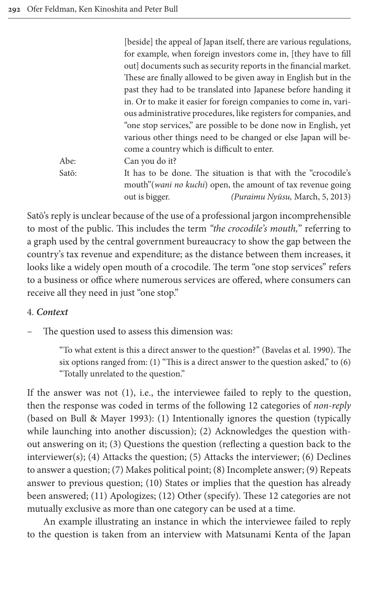|       |                                             | [beside] the appeal of Japan itself, there are various regulations, |
|-------|---------------------------------------------|---------------------------------------------------------------------|
|       |                                             | for example, when foreign investors come in, [they have to fill     |
|       |                                             | out] documents such as security reports in the financial market.    |
|       |                                             | These are finally allowed to be given away in English but in the    |
|       |                                             | past they had to be translated into Japanese before handing it      |
|       |                                             | in. Or to make it easier for foreign companies to come in, vari-    |
|       |                                             | ous administrative procedures, like registers for companies, and    |
|       |                                             | "one stop services," are possible to be done now in English, yet    |
|       |                                             | various other things need to be changed or else Japan will be-      |
|       | come a country which is difficult to enter. |                                                                     |
| Abe:  | Can you do it?                              |                                                                     |
| Satō: |                                             | It has to be done. The situation is that with the "crocodile's      |
|       |                                             | mouth" <i>(wani no kuchi)</i> open, the amount of tax revenue going |
|       | out is bigger.                              | (Puraimu Nyūsu, March, 5, 2013)                                     |

Satō's reply is unclear because of the use of a professional jargon incomprehensible to most of the public. This includes the term *"the crocodile's mouth,*" referring to a graph used by the central government bureaucracy to show the gap between the country's tax revenue and expenditure; as the distance between them increases, it looks like a widely open mouth of a crocodile. The term "one stop services" refers to a business or office where numerous services are offered, where consumers can receive all they need in just "one stop."

#### 4. *Context*

The question used to assess this dimension was:

"To what extent is this a direct answer to the question?" (Bavelas et al. 1990). The six options ranged from:  $(1)$  "This is a direct answer to the question asked," to  $(6)$ ["Totally unrelated](#page-26-6) to the question."

If the answer was not (1), i.e., the interviewee failed to reply to the question, then the response was coded in terms of the following 12 categories of *non-reply* (based on Bull & Mayer 1993): (1) Intentionally ignores the question (typically while launching into another discussion); (2) Acknowledges the question without answering on it; (3) Questions the question (reflecting a question back to the interviewer(s); (4) Attacks the question; (5) Attacks the interviewer; (6) Declines to answer a question; (7) Makes political point; (8) Incomplete answer; (9) Repeats answer to previous question; (10) States or implies that the question has already been answered; (11) Apologizes; (12) Other (specify). These 12 categories are not mutually exclusive as more than one category can be used at a time.

An example illustrating an instance in which the interviewee failed to reply to the question is taken from an interview with Matsunami Kenta of the Japan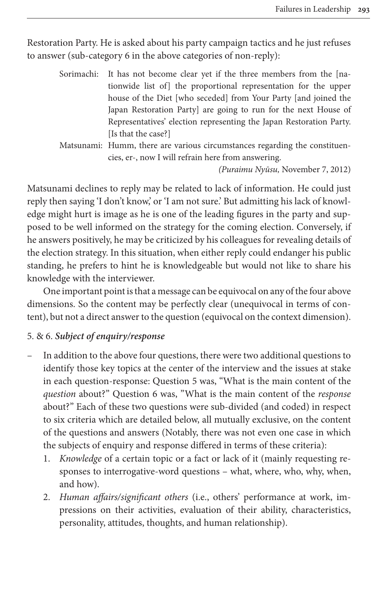Restoration Party. He is asked about his party campaign tactics and he just refuses to answer (sub-category 6 in the above categories of non-reply):

- Sorimachi: It has not become clear yet if the three members from the [nationwide list of] the proportional representation for the upper house of the Diet [who seceded] from Your Party [and joined the Japan Restoration Party] are going to run for the next House of Representatives' election representing the Japan Restoration Party. [Is that the case?]
- Matsunami: Humm, there are various circumstances regarding the constituencies, er-, now I will refrain here from answering.

*(Puraimu Nyūsu,* November 7, 2012)

Matsunami declines to reply may be related to lack of information. He could just reply then saying 'I don't know,' or 'I am not sure.' But admitting his lack of knowledge might hurt is image as he is one of the leading figures in the party and supposed to be well informed on the strategy for the coming election. Conversely, if he answers positively, he may be criticized by his colleagues for revealing details of the election strategy. In this situation, when either reply could endanger his public standing, he prefers to hint he is knowledgeable but would not like to share his knowledge with the interviewer.

One important point is that a message can be equivocal on any of the four above dimensions. So the content may be perfectly clear (unequivocal in terms of content), but not a direct answer to the question (equivocal on the context dimension).

# 5. & 6. *Subject of enquiry/response*

- In addition to the above four questions, there were two additional questions to identify those key topics at the center of the interview and the issues at stake in each question-response: Question 5 was, "What is the main content of the *question* about?" Question 6 was, "What is the main content of the *response* about?" Each of these two questions were sub-divided (and coded) in respect to six criteria which are detailed below, all mutually exclusive, on the content of the questions and answers (Notably, there was not even one case in which the subjects of enquiry and response differed in terms of these criteria):
	- 1. *Knowledge* of a certain topic or a fact or lack of it (mainly requesting responses to interrogative-word questions – what, where, who, why, when, and how).
	- 2. *Human affairs/significant others* (i.e., others' performance at work, impressions on their activities, evaluation of their ability, characteristics, personality, attitudes, thoughts, and human relationship).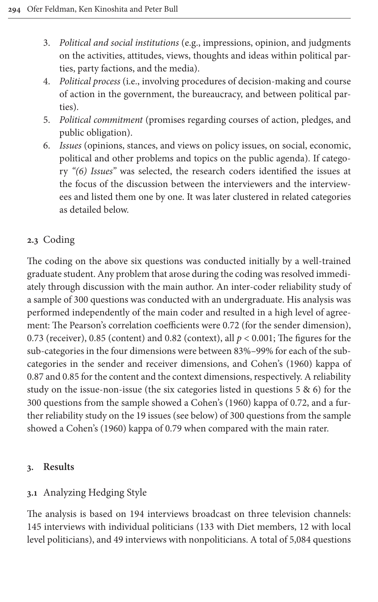- 3. *Political and social institutions* (e.g., impressions, opinion, and judgments on the activities, attitudes, views, thoughts and ideas within political parties, party factions, and the media).
- 4. *Political process* (i.e., involving procedures of decision-making and course of action in the government, the bureaucracy, and between political parties).
- 5. *Political commitment* (promises regarding courses of action, pledges, and public obligation).
- 6. *Issues* (opinions, stances, and views on policy issues, on social, economic, political and other problems and topics on the public agenda). If category *"(6) Issues"* was selected, the research coders identified the issues at the focus of the discussion between the interviewers and the interviewees and listed them one by one. It was later clustered in related categories as detailed below.

# **2.3** Coding

The coding on the above six questions was conducted initially by a well-trained graduate student. Any problem that arose during the coding was resolved immediately through discussion with the main author. An inter-coder reliability study of a sample of 300 questions was conducted with an undergraduate. His analysis was performed independently of the main coder and resulted in a high level of agreement: The Pearson's correlation coefficients were [0.72 \(for the sen](#page-26-7)der dimension), 0.73 (receiver), 0.85 (content) and 0.82 (context), all  $p < 0.001$ ; The figures for the sub-categories in the four dimensions were between 83%–99% for each of the subcategories in the sender and rece[iver dimensions](#page-26-7), and Cohen's (1960) kappa of 0.87 and 0.85 for the content and the context dimensions, respectively. A reliability st[udy on the issue-](#page-26-7)non-issue (the six categories listed in questions 5 & 6) for the 300 questions from the sample showed a Cohen's (1960) kappa of 0.72, and a further reliability study on the 19 issues (see below) of 300 questions from the sample showed a Cohen's (1960) kappa of 0.79 when compared with the main rater.

# **3. Results**

# **3.1** Analyzing Hedging Style

The analysis is based on 194 interviews broadcast on three television channels: 145 interviews with individual politicians (133 with Diet members, 12 with local level politicians), and 49 interviews with nonpoliticians. A total of 5,084 questions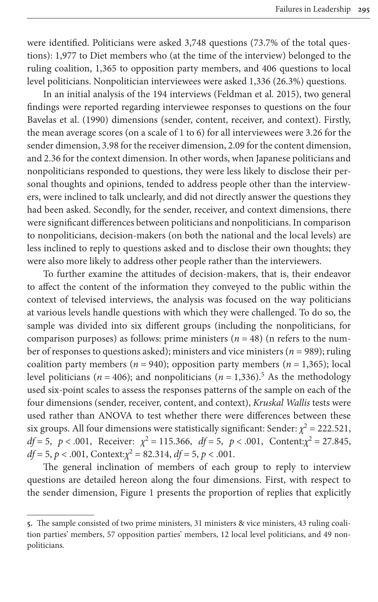were identified. Politicians were asked 3,748 questions (73.7% of the total questions): 1,977 to Diet members who (at t[he time of the intervi](#page-26-2)ew) belonged to the ruling coalition, 1,365 to opposition party members, and 406 questions to local [level politician](#page-26-0)s. Nonpolitician interviewees were asked 1,336 (26.3%) questions.

In an initial analysis of the 194 interviews (Feldman et al. 2015), two general findings were reported regarding interviewee responses to questions on the four Bavelas et al. (1990) dimensions (sender, content, receiver, and context). Firstly, the mean average scores (on a scale of 1 to 6) for all interviewees were 3.26 for the sender dimension, 3.98 for the receiver dimension, 2.09 for the content dimension, and 2.36 for the context dimension. In other words, when Japanese politicians and nonpoliticians responded to questions, they were less likely to disclose their personal thoughts and opinions, tended to address people other than the interviewers, were inclined to talk unclearly, and did not directly answer the questions they had been asked. Secondly, for the sender, receiver, and context dimensions, there were significant differences between politicians and nonpoliticians. In comparison to nonpoliticians, decision-makers (on both the national and the local levels) are less inclined to reply to questions asked and to disclose their own thoughts; they were also more likely to address other people rather than the interviewers.

To further examine the attitudes of decision-makers, that is, their endeavor to affect the content of the information they conveyed to the public within the context of televised interviews, the analysis was focused on the way politicians at various levels handle questions with which they were challenged. To do so, the sample was divided into six different groups (including the nonpoliticians, for compariso[n](#page-10-0) purposes) as follows: prime ministers  $(n = 48)$  (n refers to the number of responses to questions asked); ministers and vice ministers (*n* = 989); ruling coalition party members ( $n = 940$ ); opposition party members ( $n = 1,365$ ); local level politicians ( $n = 406$ ); and nonpoliticians ( $n = 1,336$ ).<sup>5</sup> As the methodology used six-point scales to assess the responses patterns of the sample on each of the four dimensions (sender, receiver, content, and context), *Kruskal Wallis* tests were used rather than ANOVA to test whether there were differences between these six groups. All four dimensions were statistically significant: Sender:  $\chi^2$  = 222.521, *df* = 5, *p* < .001, Receiver:  $\chi^2$  = 115.366, *df* = 5, *p* < .001, Content: $\chi^2$  = 27.845,  $df = 5$ ,  $p < .001$ , [Context:](#page-11-0) $\chi^2 = 82.314$ ,  $df = 5$ ,  $p < .001$ .

<span id="page-10-0"></span>The general inclination of members of each group to reply to interview questions are detailed hereon along the four dimensions. First, with respect to the sender dimension, Figure 1 presents the proportion of replies that explicitly

**<sup>5.</sup>** The sample consisted of two prime ministers, 31 ministers & vice ministers, 43 ruling coalition parties' members, 57 opposition parties' members, 12 local level politicians, and 49 nonpoliticians.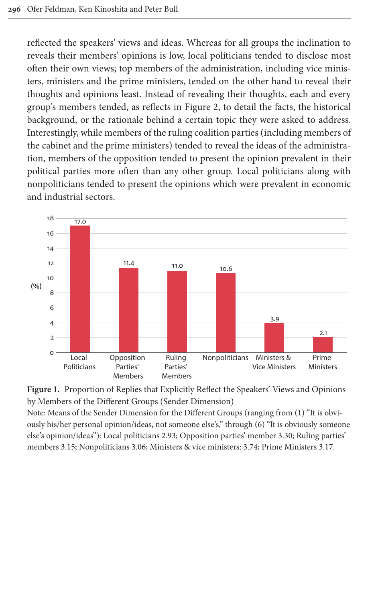reflected the speakers' views and ideas. Whereas for all groups the inclination to reveals their members' opinions is low, local politicians tended to disclose most often their own views; top mem[bers of th](#page-12-0)e administration, including vice ministers, ministers and the prime ministers, tended on the other hand to reveal their thoughts and opinions least. Instead of revealing their thoughts, each and every group's members tended, as reflects in Figure 2, to detail the facts, the historical background, or the rationale behind a certain topic they were asked to address. Interestingly, while members of the ruling coalition parties (including members of the cabinet and the prime ministers) tended to reveal the ideas of the administration, members of the opposition tended to present the opinion prevalent in their political parties more often than any other group. Local politicians along with nonpoliticians tended to present the opinions which were prevalent in economic and industrial sectors.



<span id="page-11-0"></span>**Figure 1.** Proportion of Replies that Explicitly Reflect the Speakers' Views and Opinions by Members of the Different Groups (Sender Dimension)

Note: Means of the Sender Dimension for the Different Groups (ranging from (1) "It is obviously his/her personal opinion/ideas, not someone else's," through (6) "It is obviously someone else's opinion/ideas"): Local politicians 2.93; Opposition parties' member 3.30; Ruling parties' members 3.15; Nonpoliticians 3.06; Ministers & vice ministers: 3.74; Prime Ministers 3.17.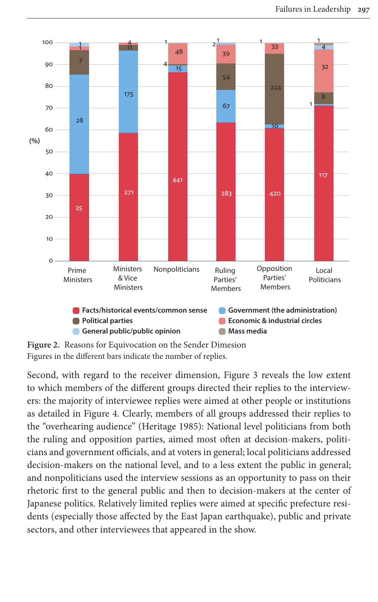

<span id="page-12-0"></span>**Figure 2.** Reasons for Equivocation on the Sen[der Dime](#page-13-0)sion Figures in the different bars indicate the number of replies.

Second[, with re](#page-14-0)gard to the receiver dimension, Figure 3 reveals the low extent to which members of [the different g](#page-26-5)roups directed their replies to the interviewers: the majority of interviewee replies were aimed at other people or institutions as detailed in Figure 4. Clearly, members of all groups addressed their replies to the "overhearing audience" (Heritage 1985): National level politicians from both the ruling and opposition parties, aimed most often at decision-makers, politicians and government officials, and at voters in general; local politicians addressed decision-makers on the national level, and to a less extent the public in general; and nonpoliticians used the interview sessions as an opportunity to pass on their rhetoric first to the general public and then to decision-makers at the center of Japanese politics. Relatively limited replies were aimed at specific prefecture residents (especially those affected by the East Japan earthquake), public and private sectors, and other interviewees that appeared in the show.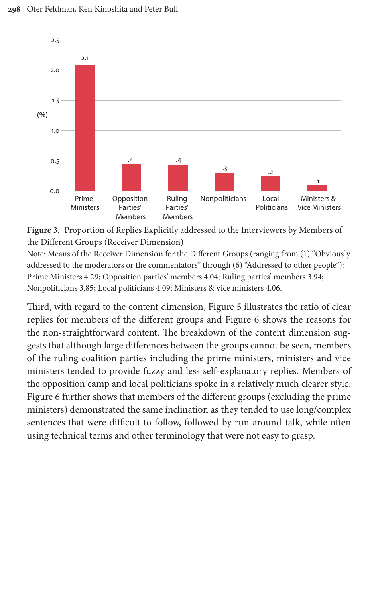

<span id="page-13-0"></span>**Figure 3.** Proportion of Replies Explicitly addressed to the Interviewers by Members of the Different Groups (Receiver Dimension)

Note: Means of the Receiver Dimension for the Different Groups (ranging from (1) "Obviously addressed to the moderators or the commentators" through (6) "Addressed to other people"): Prime Ministers 4.29; Opposition parties' me[mbers 4.0](#page-15-0)4; Ruling parties' members 3.94; Nonpoliticians 3.85; Local politicians 4.09; Minist[ers & vice m](#page-16-0)inisters 4.06.

Third, with regard to the content dimension, Figure 5 illustrates the ratio of clear replies for members of the different groups and Figure 6 shows the reasons for the non-straightforward content. The breakdown of the content dimension suggests that although large differences between the groups cannot be seen, members [of](#page-16-0) the ruling coalition parties including the prime ministers, ministers and vice ministers tended to provide fuzzy and less self-explanatory replies. Members of the opposition camp and local politicians spoke in a relatively much clearer style. Figure 6 further shows that members of the different groups (excluding the prime ministers) demonstrated the same inclination as they tended to use long/complex sentences that were difficult to follow, followed by run-around talk, while often using technical terms and other terminology that were not easy to grasp.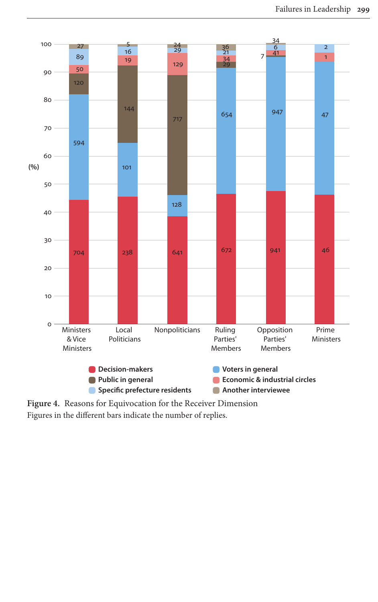

<span id="page-14-0"></span>**Figure 4.** Reasons for Equivocation for the Receiver Dimension Figures in the different bars indicate the number of replies.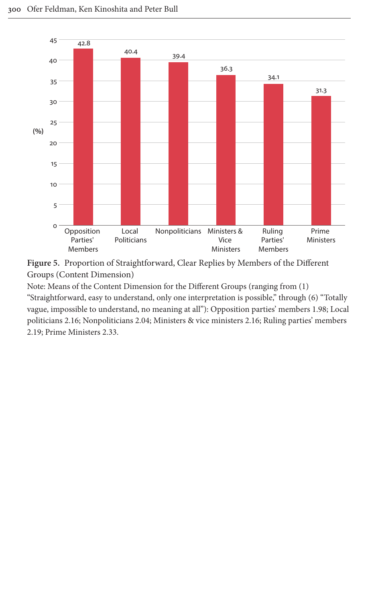

<span id="page-15-0"></span>**Figure 5.** Proportion of Straightforward, Clear Replies by Members of the Different Groups (Content Dimension)

Note: Means of the Content Dimension for the Different Groups (ranging from (1)

"Straightforward, easy to understand, only one interpretation is possible," through (6) "Totally vague, impossible to understand, no meaning at all"): Opposition parties' members 1.98; Local politicians 2.16; Nonpoliticians 2.04; Ministers & vice ministers 2.16; Ruling parties' members 2.19; Prime Ministers 2.33.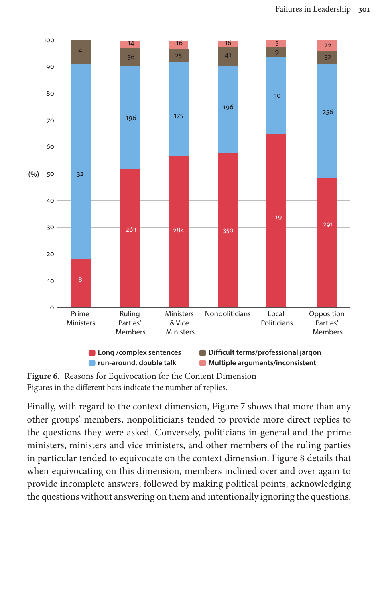

<span id="page-16-0"></span>**Figure 6.** Reasons for Equivocation for the [Content D](#page-17-0)imension Figures in the different bars indicate the number of replies.

Finally, with regard to the context dimension, Figure 7 shows that more than any other groups' members, nonpoliticians tended to pro[vide mor](#page-18-0)e direct replies to the questions they were asked. Conversely, politicians in general and the prime ministers, ministers and vice ministers, and other members of the ruling parties in particular tended to equivocate on the context dimension. Figure 8 details that when equivocating on this dimension, members inclined over and over again to provide incomplete answers, followed by making political points, acknowledging the questions without answering on them and intentionally ignoring the questions.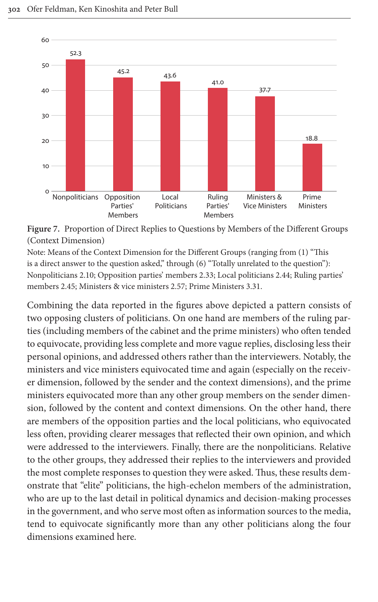

<span id="page-17-0"></span>**Figure 7.** Proportion of Direct Replies to Questions by Members of the Different Groups (Context Dimension)

Note: Means of the Context Dimension for the Different Groups (ranging from (1) "This is a direct answer to the question asked," through (6) "Totally unrelated to the question"): Nonpoliticians 2.10; Opposition parties' members 2.33; Local politicians 2.44; Ruling parties' members 2.45; Ministers & vice ministers 2.57; Prime Ministers 3.31.

Combining the data reported in the figures above depicted a pattern consists of two opposing clusters of politicians. On one hand are members of the ruling parties (including members of the cabinet and the prime ministers) who often tended to equivocate, providing less complete and more vague replies, disclosing less their personal opinions, and addressed others rather than the interviewers. Notably, the ministers and vice ministers equivocated time and again (especially on the receiver dimension, followed by the sender and the context dimensions), and the prime ministers equivocated more than any other group members on the sender dimension, followed by the content and context dimensions. On the other hand, there are members of the opposition parties and the local politicians, who equivocated less often, providing clearer messages that reflected their own opinion, and which were addressed to the interviewers. Finally, there are the nonpoliticians. Relative to the other groups, they addressed their replies to the interviewers and provided the most complete responses to question they were asked. Thus, these results demonstrate that "elite" politicians, the high-echelon members of the administration, who are up to the last detail in political dynamics and decision-making processes in the government, and who serve most often as information sources to the media, tend to equivocate significantly more than any other politicians along the four dimensions examined here.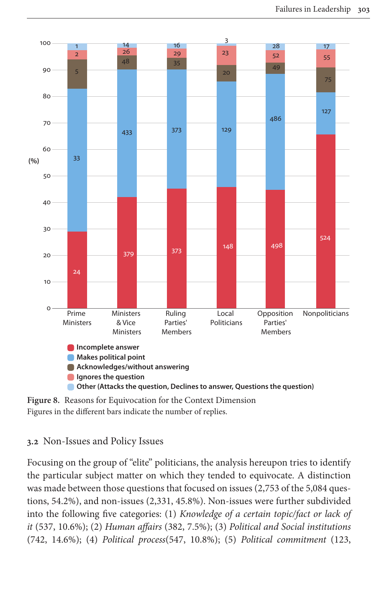

<span id="page-18-0"></span>**Figure 8.** Reasons for Equivocation for the Context Dimension Figures in the different bars indicate the number of replies.

# **3.2** Non-Issues and Policy Issues

Focusing on the group of "elite" politicians, the analysis hereupon tries to identify the particular subject matter on which they tended to equivocate. A distinction was made between those questions that focused on issues (2,753 of the 5,084 questions, 54.2%), and non-issues (2,331, 45.8%). Non-issues were further subdivided into the following five categories: (1) *Knowledge of a certain topic/fact or lack of it* (537, 10.6%); (2) *Human affairs* (382, 7.5%); (3) *Political and Social institutions* (742, 14.6%); (4) *Political process*(547, 10.8%); (5) *Political commitment* (123,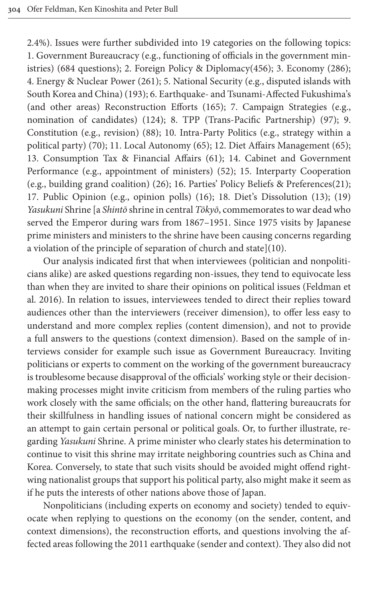2.4%). Issues were further subdivided into 19 categories on the following topics: 1. Government Bureaucracy (e.g., functioning of officials in the government ministries) (684 questions); 2. Foreign Policy & Diplomacy(456); 3. Economy (286); 4. Energy & Nuclear Power (261); 5. National Security (e.g., disputed islands with South Korea and China) (193); 6. Earthquake- and Tsunami-Affected Fukushima's (and other areas) Reconstruction Efforts (165); 7. Campaign Strategies (e.g., nomination of candidates) (124); 8. TPP (Trans-Pacific Partnership) (97); 9. Constitution (e.g., revision) (88); 10. Intra-Party Politics (e.g., strategy within a political party) (70); 11. Local Autonomy (65); 12. Diet Affairs Management (65); 13. Consumption Tax & Financial Affairs (61); 14. Cabinet and Government Performance (e.g., appointment of ministers) (52); 15. Interparty Cooperation (e.g., building grand coalition) (26); 16. Parties' Policy Beliefs & Preferences(21); 17. Public Opinion (e.g., opinion polls) (16); 18. Diet's Dissolution (13); (19) *Yasukuni* Shrine [a *Shintō* shrine in central *Tōkyō*, commemorates to war dead who served the Emperor during wars from 1867–1951. Since 1975 visits by Japanese prime ministers and ministers to the shrine have been causing concerns regarding a violation of the principle of separation of church and state](1[0\).](#page-26-8)

Our analysis indicated first that when interviewees (politician and nonpoliti[c](#page-26-8)ians alike) are asked questions regarding non-issues, they tend to equivocate less than when they are invited to share their opinions on political issues (Feldman et al. 2016). In relation to issues, interviewees tended to direct their replies toward audiences other than the interviewers (receiver dimension), to offer less easy to understand and more complex replies (content dimension), and not to provide a full answers to the questions (context dimension). Based on the sample of interviews consider for example such issue as Government Bureaucracy. Inviting politicians or experts to comment on the working of the government bureaucracy is troublesome because disapproval of the officials' working style or their decisionmaking processes might invite criticism from members of the ruling parties who work closely with the same officials; on the other hand, flattering bureaucrats for their skillfulness in handling issues of national concern might be considered as an attempt to gain certain personal or political goals. Or, to further illustrate, regarding *Yasukuni* Shrine. A prime minister who clearly states his determination to continue to visit this shrine may irritate neighboring countries such as China and Korea. Conversely, to state that such visits should be avoided might offend rightwing nationalist groups that support his political party, also might make it seem as if he puts the interests of other nations above those of Japan.

Nonpoliticians (including experts on economy and society) tended to equivocate when replying to questions on the economy (on the sender, content, and context dimensions), the reconstruction efforts, and questions involving the affected areas following the 2011 earthquake (sender and context). They also did not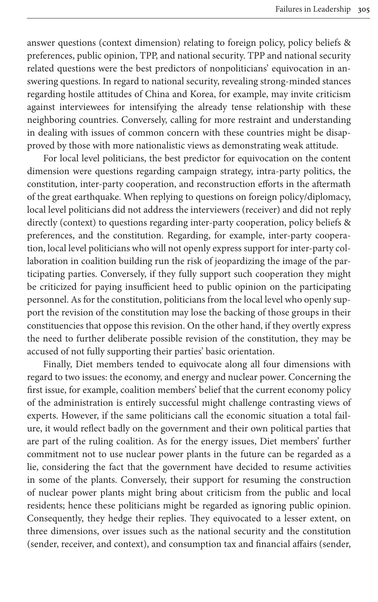answer questions (context dimension) relating to foreign policy, policy beliefs & preferences, public opinion, TPP, and national security. TPP and national security related questions were the best predictors of nonpoliticians' equivocation in answering questions. In regard to national security, revealing strong-minded stances regarding hostile attitudes of China and Korea, for example, may invite criticism against interviewees for intensifying the already tense relationship with these neighboring countries. Conversely, calling for more restraint and understanding in dealing with issues of common concern with these countries might be disapproved by those with more nationalistic views as demonstrating weak attitude.

For local level politicians, the best predictor for equivocation on the content dimension were questions regarding campaign strategy, intra-party politics, the constitution, inter-party cooperation, and reconstruction efforts in the aftermath of the great earthquake. When replying to questions on foreign policy/diplomacy, local level politicians did not address the interviewers (receiver) and did not reply directly (context) to questions regarding inter-party cooperation, policy beliefs & preferences, and the constitution. Regarding, for example, inter-party cooperation, local level politicians who will not openly express support for inter-party collaboration in coalition building run the risk of jeopardizing the image of the participating parties. Conversely, if they fully support such cooperation they might be criticized for paying insufficient heed to public opinion on the participating personnel. As for the constitution, politicians from the local level who openly support the revision of the constitution may lose the backing of those groups in their constituencies that oppose this revision. On the other hand, if they overtly express the need to further deliberate possible revision of the constitution, they may be accused of not fully supporting their parties' basic orientation.

Finally, Diet members tended to equivocate along all four dimensions with regard to two issues: the economy, and energy and nuclear power. Concerning the first issue, for example, coalition members' belief that the current economy policy of the administration is entirely successful might challenge contrasting views of experts. However, if the same politicians call the economic situation a total failure, it would reflect badly on the government and their own political parties that are part of the ruling coalition. As for the energy issues, Diet members' further commitment not to use nuclear power plants in the future can be regarded as a lie, considering the fact that the government have decided to resume activities in some of the plants. Conversely, their support for resuming the construction of nuclear power plants might bring about criticism from the public and local residents; hence these politicians might be regarded as ignoring public opinion. Consequently, they hedge their replies. They equivocated to a lesser extent, on three dimensions, over issues such as the national security and the constitution (sender, receiver, and context), and consumption tax and financial affairs (sender,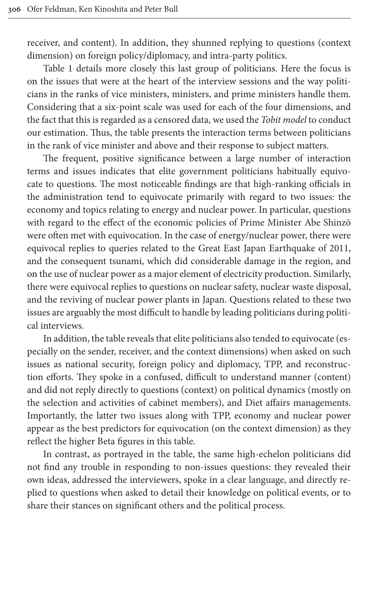[recei](#page-22-0)ver, and content). In addition, they shunned replying to questions (context dimension) on foreign policy/diplomacy, and intra-party politics.

Table 1 details more closely this last group of politicians. Here the focus is on the issues that were at the heart of the interview sessions and the way politicians in the ranks of vice ministers, ministers, and prime ministers handle them. Considering that a six-point scale was used for each of the four dimensions, and the fact that this is regarded as a censored data, we used the *Tobit model* to conduct our estimation. Thus, the table presents the interaction terms between politicians in the rank of vice minister and above and their response to subject matters.

The frequent, positive significance between a large number of interaction terms and issues indicates that elite government politicians habitually equivocate to questions. The most noticeable findings are that high-ranking officials in the administration tend to equivocate primarily with regard to two issues: the economy and topics relating to energy and nuclear power. In particular, questions with regard to the effect of the economic policies of Prime Minister Abe Shinzō were often met with equivocation. In the case of energy/nuclear power, there were equivocal replies to queries related to the Great East Japan Earthquake of 2011, and the consequent tsunami, which did considerable damage in the region, and on the use of nuclear power as a major element of electricity production. Similarly, there were equivocal replies to questions on nuclear safety, nuclear waste disposal, and the reviving of nuclear power plants in Japan. Questions related to these two issues are arguably the most difficult to handle by leading politicians during political interviews.

In addition, the table reveals that elite politicians also tended to equivocate (especially on the sender, receiver, and the context dimensions) when asked on such issues as national security, foreign policy and diplomacy, TPP, and reconstruction efforts. They spoke in a confused, difficult to understand manner (content) and did not reply directly to questions (context) on political dynamics (mostly on the selection and activities of cabinet members), and Diet affairs managements. Importantly, the latter two issues along with TPP, economy and nuclear power appear as the best predictors for equivocation (on the context dimension) as they reflect the higher Beta figures in this table.

In contrast, as portrayed in the table, the same high-echelon politicians did not find any trouble in responding to non-issues questions: they revealed their own ideas, addressed the interviewers, spoke in a clear language, and directly replied to questions when asked to detail their knowledge on political events, or to share their stances on significant others and the political process.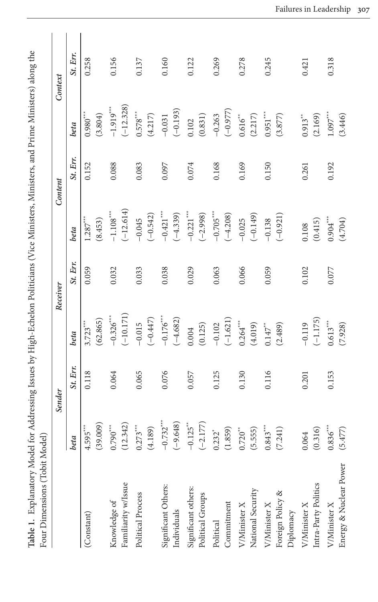| $-0.732***$<br>$(-9.648)$<br>$-0.125$ <sup>**</sup><br>(39.009)<br>$(-2.177)$<br>(12.342)<br>$0.790***$<br>$4.595***$<br>$0.273***$<br>(4.189)<br>$0.232^{*}$<br>beta<br>Familiarity w/Issue<br>Significant Others:<br>Significant others:<br>Political Process<br>Political Groups<br>Knowledge of<br>Individuals<br>(Constant)<br>Political |          |                            | Receiver |                            | Content  |                            | Context  |
|-----------------------------------------------------------------------------------------------------------------------------------------------------------------------------------------------------------------------------------------------------------------------------------------------------------------------------------------------|----------|----------------------------|----------|----------------------------|----------|----------------------------|----------|
|                                                                                                                                                                                                                                                                                                                                               | St. Err. | beta                       | St. Err. | beta                       | St. Err. | beta                       | St. Err. |
|                                                                                                                                                                                                                                                                                                                                               | 0.118    | (62.865)<br>$3.723***$     | 0.059    | $1.287***$<br>(8.453)      | 0.152    | $0.980***$<br>(3.804)      | 0.258    |
|                                                                                                                                                                                                                                                                                                                                               | 0.064    | $(-10.171)$<br>$-0.326***$ | 0.032    | $(-12.614)$<br>$-1.108***$ | 0.088    | $(-12.328)$<br>$-1.919***$ | 0.156    |
|                                                                                                                                                                                                                                                                                                                                               | 0.065    | $(-0.447)$<br>$-0.015$     | 0.033    | $(-0.542)$<br>$-0.045$     | 0.083    | $0.578***$<br>(4.217)      | 0.137    |
|                                                                                                                                                                                                                                                                                                                                               | 0.076    | $-0.176$<br>$(-4.682)$     | 0.038    | $-0.421$ ***<br>$(-4.339)$ | 0.097    | $(-0.193)$<br>$-0.031$     | 0.160    |
|                                                                                                                                                                                                                                                                                                                                               | 0.057    | (0.125)<br>0.004           | 0.029    | $-0.221***$<br>$(-2.998)$  | 0.074    | (0.831)<br>0.102           | 0.122    |
| (1.859)<br>Commitment                                                                                                                                                                                                                                                                                                                         | 0.125    | $(-1.621)$<br>$-0.102$     | 0.063    | $-0.705***$<br>$(-4.208)$  | 0.168    | $(-0.977)$<br>$-0.263$     | 0.269    |
| (5.555)<br>$0.720**$<br>$\label{lem:V} \begin{array}{ll} \text{V/Minister X}\\ \text{National Security} \end{array}$                                                                                                                                                                                                                          | 0.130    | $0.264***$<br>(4.019)      | 0.066    | $(-0.149)$<br>$-0.025$     | 0.169    | $0.616**$<br>(2.217)       | 0.278    |
| $0.843***$<br>(7.241)<br>Foreign Policy &<br>$V\!$ Minister $\rm X$<br>Diplomacy                                                                                                                                                                                                                                                              | 0.116    | (2.489)<br>$0.147**$       | 0.059    | $(-0.921)$<br>$-0.138$     | 0.150    | $0.951***$<br>(3.877)      | 0.245    |
| (0.316)<br>0.064<br>Intra-Party Politics<br>$V/M$ inister ${\bf X}$                                                                                                                                                                                                                                                                           | 0.201    | $(-1.175)$<br>$-0.119$     | 0.102    | (0.415)<br>0.108           | 0.261    | $0.913**$<br>(2.169)       | 0.421    |
| $0.836***$<br>(5.477)<br>Energy & Nuclear Power<br>V/Minister X                                                                                                                                                                                                                                                                               | 0.153    | $0.613***$<br>(7.928)      | 0.077    | $0.904***$<br>(4.704)      | 0.192    | $1.097***$<br>(3.446)      | 0.318    |

<span id="page-22-0"></span>Table 1. Explanatory Model for Addressing Issues by High-Echelon Politicians (Vice Ministers, Ministers, and Prime Ministers) along the **Table 1.** Explanatory Model for Addressing Issues by High-Echelon Politicians (Vice Ministers, Ministers, and Prime Ministers) along the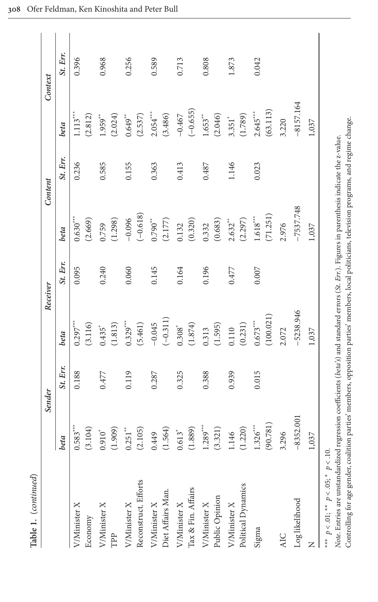| ${\it continued}$ |  |
|-------------------|--|
| ٠                 |  |

|                                                                                                    |                       | Sender   |             | Receiver |             | Content  |                      | Context  |
|----------------------------------------------------------------------------------------------------|-----------------------|----------|-------------|----------|-------------|----------|----------------------|----------|
|                                                                                                    | beta                  | St. Err. | beta        | St. Err. | beta        | St. Err. | beta                 | St. Err. |
| V/Minister X                                                                                       | $0.583***$            | 0.188    | $0.297***$  | 0.095    | $0.630***$  | 0.236    | $1.113***$           | 0.396    |
| Economy                                                                                            | (3.104)               |          | (3.116)     |          | (2.669)     |          | (2.812)              |          |
| V/Minister X                                                                                       | $0.910^{*}$           | 0.477    | $0.435*$    | 0.240    | 0.759       | 0.585    | $1.959**$            | 0.968    |
| TPP                                                                                                | (1.909)               |          | (1.813)     |          | (1.298)     |          | (2.024)              |          |
| V/Minister X                                                                                       | $0.251$ <sup>**</sup> | 0.119    | $0.329***$  | 0.060    | $-0.096$    | 0.155    | $0.649**$            | 0.256    |
| Reconstruct. Efforts                                                                               | (2.105)               |          | (5.461)     |          | $(-0.618)$  |          | (2.537)              |          |
|                                                                                                    | 0.449                 | 0.287    | $-0.045$    | 0.145    | $0.790**$   | 0.363    | $2.054***$           | 0.589    |
| $\label{eq:VMinister} \begin{array}{l} \mbox{V/Ninister X}\\ \mbox{Diet Affairs Man}. \end{array}$ | (1.564)               |          | $(-0.311)$  |          | (2.177)     |          | (3.486)              |          |
| $\ensuremath{\text{V}}\xspace$ /Minister X                                                         | $0.613*$              | 0.325    | $0.308^{*}$ | 0.164    | 0.132       | 0.413    | $-0.467$             | 0.713    |
| Tax & Fin. Affairs                                                                                 | (1.889)               |          | (1.874)     |          | (0.320)     |          | $(-0.655)$           |          |
| $\ensuremath{\text{V}}\xspace$ Ninister X                                                          | $1.289***$            | 0.388    | 0.313       | 0.196    | 0.332       | 0.487    | $1.653**$            | 0.808    |
| Public Opinion                                                                                     | (3.321)               |          | (1.595)     |          | (0.683)     |          | (2.046)              |          |
| V/Minister X                                                                                       | 1.146                 | 0.939    | 0.110       | 0.477    | $2.632**$   | 1.146    | $3.351$ <sup>*</sup> | 1.873    |
| Political Dynamics                                                                                 | (1.220)               |          | (0.231)     |          | (2.297)     |          | (1.789)              |          |
| Sigma                                                                                              | $1.326***$            | 0.015    | $0.673***$  | 0.007    | $1.618***$  | 0.023    | $2.645***$           | 0.042    |
|                                                                                                    | (90.781)              |          | (100.021)   |          | (71.251)    |          | (63.113)             |          |
| AIC                                                                                                | 3.296                 |          | 2.072       |          | 2.976       |          | 3.220                |          |
| Log likelihood                                                                                     | $-8352.001$           |          | $-5238.946$ |          | $-7537.748$ |          | $-8157.164$          |          |
| Z                                                                                                  | 1,037                 |          | 1,037       |          | 1,037       |          | 1,037                |          |

Controlling for age gender, coalition parties' members, opposition parties' members, local politicians, television programs, and regime change. Controlling for age gender, coalition parties' members, opposition parties' members, local politicians, television programs, and regime change.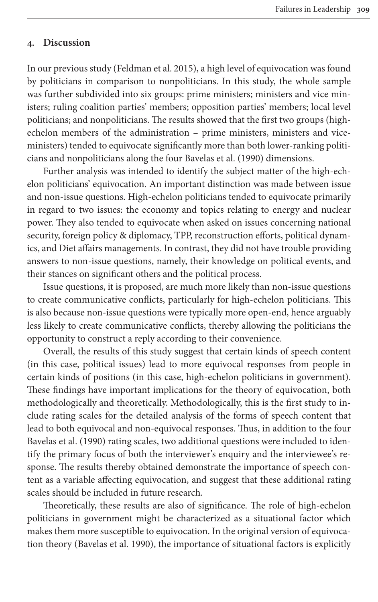### **4. Discussio[n](#page-26-2)**

In our previous study (Feldman et al. 2015), a high level of equivocation was found by politicians in comparison to nonpoliticians. In this study, the whole sample was further subdivided into six groups: prime ministers; ministers and vice ministers; ruling coalition parties' members; opposition parties' members; local level politicians; and nonpoliticians. [The results showed th](#page-26-0)at the first two groups (highechelon members of the administration – prime ministers, ministers and viceministers) tended to equivocate significantly more than both lower-ranking politicians and nonpoliticians along the four Bavelas et al. (1990) dimensions.

Further analysis was intended to identify the subject matter of the high-echelon politicians' equivocation. An important distinction was made between issue and non-issue questions. High-echelon politicians tended to equivocate primarily in regard to two issues: the economy and topics relating to energy and nuclear power. They also tended to equivocate when asked on issues concerning national security, foreign policy & diplomacy, TPP, reconstruction efforts, political dynamics, and Diet affairs managements. In contrast, they did not have trouble providing answers to non-issue questions, namely, their knowledge on political events, and their stances on significant others and the political process.

Issue questions, it is proposed, are much more likely than non-issue questions to create communicative conflicts, particularly for high-echelon politicians. This is also because non-issue questions were typically more open-end, hence arguably less likely to create communicative conflicts, thereby allowing the politicians the opportunity to construct a reply according to their convenience.

Overall, the results of this study suggest that certain kinds of speech content (in this case, political issues) lead to more equivocal responses from people in certain kinds of positions (in this case, high-echelon politicians in government). These findings have important implications for the theory of equivocation, both [methodologic](#page-26-0)ally and theoretically. Methodologically, this is the first study to include rating scales for the detailed analysis of the forms of speech content that lead to both equivocal and non-equivocal responses. Thus, in addition to the four Bavelas et al. (1990) rating scales, two additional questions were included to identify the primary focus of both the interviewer's enquiry and the interviewee's response. The results thereby obtained demonstrate the importance of speech content as a variable affecting equivocation, and suggest that these additional rating scales should be included in future research.

[Theoretically, these](#page-26-0) results are also of significance. The role of high-echelon politicians in government might be characterized as a situational factor which makes them more susceptible to equivocation. In the original version of equivocation theory (Bavelas et al. 1990), the importance of situational factors is explicitly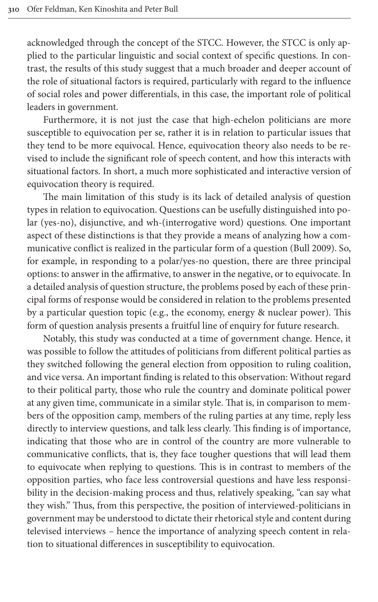acknowledged through the concept of the STCC. However, the STCC is only applied to the particular linguistic and social context of specific questions. In contrast, the results of this study suggest that a much broader and deeper account of the role of situational factors is required, particularly with regard to the influence of social roles and power differentials, in this case, the important role of political leaders in government.

Furthermore, it is not just the case that high-echelon politicians are more susceptible to equivocation per se, rather it is in relation to particular issues that they tend to be more equivocal. Hence, equivocation theory also needs to be revised to include the significant role of speech content, and how this interacts with situational factors. In short, a much more sophisticated and interactive version of equivocation theory is required.

The main limitation of this study is its lack of detailed analysis of question types in relation to equivocation. Questions can be usefully [distinguish](#page-26-9)ed into polar (yes-no), disjunctive, and wh-(interrogative word) questions. One important aspect of these distinctions is that they provide a means of analyzing how a communicative conflict is realized in the particular form of a question (Bull 2009). So, for example, in responding to a polar/yes-no question, there are three principal options: to answer in the affirmative, to answer in the negative, or to equivocate. In a detailed analysis of question structure, the problems posed by each of these principal forms of response would be considered in relation to the problems presented by a particular question topic (e.g., the economy, energy & nuclear power). This form of question analysis presents a fruitful line of enquiry for future research.

Notably, this study was conducted at a time of government change. Hence, it was possible to follow the attitudes of politicians from different political parties as they switched following the general election from opposition to ruling coalition, and vice versa. An important finding is related to this observation: Without regard to their political party, those who rule the country and dominate political power at any given time, communicate in a similar style. That is, in comparison to members of the opposition camp, members of the ruling parties at any time, reply less directly to interview questions, and talk less clearly. This finding is of importance, indicating that those who are in control of the country are more vulnerable to communicative conflicts, that is, they face tougher questions that will lead them to equivocate when replying to questions. This is in contrast to members of the opposition parties, who face less controversial questions and have less responsibility in the decision-making process and thus, relatively speaking, "can say what they wish." Thus, from this perspective, the position of interviewed-politicians in government may be understood to dictate their rhetorical style and content during televised interviews – hence the importance of analyzing speech content in relation to situational differences in susceptibility to equivocation.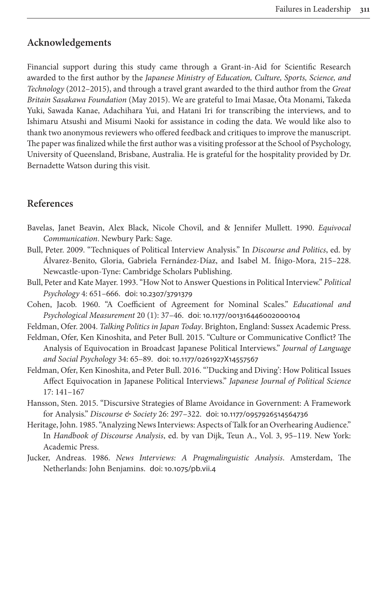### **Acknowledgements**

Financial support during this study came through a Grant-in-Aid for Scientific Research awarded to the first author by the *Japanese Ministry of Education, Culture, Sports, Science, and Technology* (2012–2015), and through a travel grant awarded to the third author from the *Great Britain Sasakawa Foundation* (May 2015). We are grateful to Imai Masae, Ōta Monami, Takeda Yuki, Sawada Kanae, Adachihara Yui, and Hatani Iri for transcribing the interviews, and to Ishimaru Atsushi and Misumi Naoki for assistance in coding the data. We would like also to thank two anonymous reviewers who offered feedback and critiques to improve the manuscript. The paper was finalized while the first author was a visiting professor at the School of Psychology, University of Queensland, Brisbane, Australia. He is grateful for the hospitality provided by Dr. Bernadette Watson during this visit.

# <span id="page-26-9"></span><span id="page-26-0"></span>**References**

- Bavelas, Janet Beavin, Alex Black, Nicole Chovil, and & Jennifer Mullett. 1990. *Equivocal Communication*. Newbury Park: Sage.
- <span id="page-26-6"></span>Bull, Peter. 2009. "Techniques of Political Interview Analysis." In *Discourse and Politics*, ed. by Álvarez-Benito, Glo[ria, Gabriela Fe](https://doi.org/10.2307/3791379)rnández-Díaz, and Isabel M. Íñigo-Mora, 215–228. Newcastle-upon-Tyne: Cambridge Scholars Publishing.
- <span id="page-26-7"></span><span id="page-26-3"></span>Bull, Peter and Kate Mayer. 1993. "How Not [to Answer Questions in Politi](https://doi.org/10.1177/001316446002000104)cal Interview." *Political Psychology* 4: 651–666. doi: 10.2307/3791379
- <span id="page-26-2"></span>Cohen, Jacob. 1960. "A Coefficient of Agreement for Nominal Scales." *Educational and Psychological Measurement* 20 (1): 37–46. doi: 10.1177/001316446002000104
- Feldman, Ofer. 2004. *Talking Politi[cs in Japan Today](https://doi.org/10.1177/0261927X14557567)*. Brighton, England: Sussex Academic Press.
- <span id="page-26-8"></span>Feldman, Ofer, Ken Kinoshita, and Peter Bull. 2015. "Culture or Communicative Conflict? The Analysis of Equivocation in Broadcast Japanese Political Interviews." *Journal of Language and Social Psychology* 34: 65–89. doi: 10.1177/0261927X14557567
- <span id="page-26-1"></span>Feldman, Ofer, Ken Kinoshita, and Peter Bull. 2016. "'Ducking and Diving': How Political Issues Affect Equivocation in Japanese Political Interviews." *[Japanese Journa](https://doi.org/10.1177/0957926514564736)l of Political Science* 17: 141–167
- <span id="page-26-5"></span>Hansson, Sten. 2015. "Discursive Strategies of Blame Avoidance in Government: A Framework for Analysis." *Discourse & Society* 26: 297–322. doi: 10.1177/0957926514564736
- <span id="page-26-4"></span>Heritage, John. 1985. "Analyzing News Interviews: Aspects of Talk for an Overhearing Audience." In *Handbook of Discourse [Analysis](https://doi.org/10.1075/pb.vii.4)*, ed. by van Dijk, Teun A., Vol. 3, 95–119. New York: Academic Press.
- Jucker, Andreas. 1986. *News Interviews: A Pragmalinguistic Analysis*. Amsterdam, The Netherlands: John Benjamins. doi: 10.1075/pb.vii.4